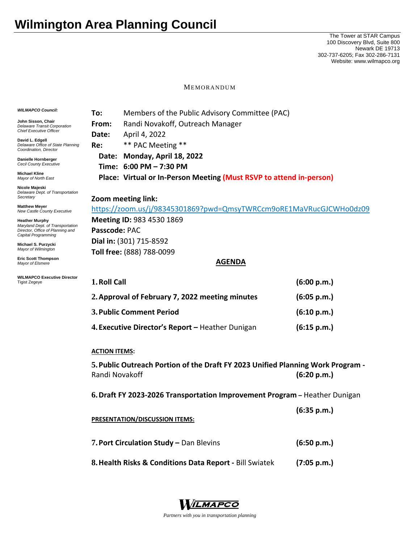## **Wilmington Area Planning Council**

The Tower at STAR Campus 100 Discovery Blvd, Suite 800 Newark DE 19713 302-737-6205; Fax 302-286-7131 Website: www.wilmapco.org

MEMORANDUM

| <b>WILMAPCO Council:</b>                                                                                             | Members of the Public Advisory Committee (PAC)<br>To:                                                            |                                                                     |             |  |
|----------------------------------------------------------------------------------------------------------------------|------------------------------------------------------------------------------------------------------------------|---------------------------------------------------------------------|-------------|--|
| John Sisson, Chair<br><b>Delaware Transit Corporation</b><br><b>Chief Executive Officer</b>                          | From:                                                                                                            | Randi Novakoff, Outreach Manager                                    |             |  |
|                                                                                                                      | Date:                                                                                                            | April 4, 2022                                                       |             |  |
| David L. Edgell<br>Delaware Office of State Planning<br>Coordination, Director                                       | Re:                                                                                                              | ** PAC Meeting **                                                   |             |  |
| Danielle Hornberger<br><b>Cecil County Executive</b>                                                                 | Date:                                                                                                            | Monday, April 18, 2022                                              |             |  |
|                                                                                                                      |                                                                                                                  | Time: 6:00 PM - 7:30 PM                                             |             |  |
| <b>Michael Kline</b><br>Mayor of North East                                                                          |                                                                                                                  | Place: Virtual or In-Person Meeting (Must RSVP to attend in-person) |             |  |
| Nicole Majeski<br>Delaware Dept. of Transportation<br>Secretary                                                      | Zoom meeting link:                                                                                               |                                                                     |             |  |
| <b>Matthew Meyer</b><br>New Castle County Executive                                                                  | https://zoom.us/j/98345301869?pwd=QmsyTWRCcm9oRE1MaVRucGJCWHo0dz09                                               |                                                                     |             |  |
| <b>Heather Murphy</b><br>Maryland Dept. of Transportation<br>Director, Office of Planning and<br>Capital Programming | Meeting ID: 983 4530 1869                                                                                        |                                                                     |             |  |
|                                                                                                                      | Passcode: PAC                                                                                                    |                                                                     |             |  |
| Michael S. Purzycki<br>Mayor of Wilmington                                                                           | Dial in: (301) 715-8592                                                                                          |                                                                     |             |  |
|                                                                                                                      | Toll free: (888) 788-0099                                                                                        |                                                                     |             |  |
| <b>Eric Scott Thompson</b><br>Mayor of Elsmere                                                                       | <b>AGENDA</b>                                                                                                    |                                                                     |             |  |
| <b>WILMAPCO Executive Director</b><br><b>Tigist Zegeye</b>                                                           | 1. Roll Call                                                                                                     |                                                                     | (6:00 p.m.) |  |
|                                                                                                                      | 2. Approval of February 7, 2022 meeting minutes<br>(6:05 p.m.)                                                   |                                                                     |             |  |
|                                                                                                                      | 3. Public Comment Period                                                                                         |                                                                     | (6:10 p.m.) |  |
|                                                                                                                      | 4. Executive Director's Report - Heather Dunigan                                                                 |                                                                     | (6:15 p.m.) |  |
|                                                                                                                      | <b>ACTION ITEMS:</b>                                                                                             |                                                                     |             |  |
|                                                                                                                      | 5. Public Outreach Portion of the Draft FY 2023 Unified Planning Work Program -<br>Randi Novakoff<br>(6:20 p.m.) |                                                                     |             |  |
|                                                                                                                      | 6. Draft FY 2023-2026 Transportation Improvement Program - Heather Dunigan                                       |                                                                     |             |  |
|                                                                                                                      |                                                                                                                  |                                                                     | (6:35 p.m.) |  |
|                                                                                                                      | <b>PRESENTATION/DISCUSSION ITEMS:</b>                                                                            |                                                                     |             |  |
|                                                                                                                      | 7. Port Circulation Study - Dan Blevins                                                                          |                                                                     | (6:50 p.m.) |  |
|                                                                                                                      | 8. Health Risks & Conditions Data Report - Bill Swiatek                                                          |                                                                     | (7:05 p.m.) |  |



*Partners with you in transportation planning*